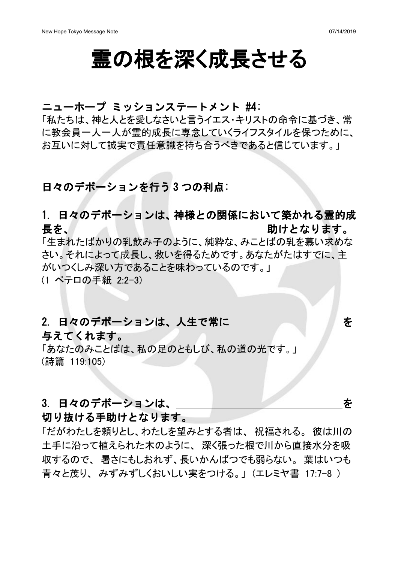# 霊の根を深く成長させる

### ニューホープ ミッションステートメント #4:

「私たちは、神と人とを愛しなさいと言うイエス・キリストの命令に基づき、常 に教会員一人一人が霊的成長に専念していくライフスタイルを保つために、 お互いに対して誠実で責任意識を持ち合うべきであると信じています。」

## 日々のデボーションを行う 3 つの利点:

# 1. 日々のデボーションは、神様との関係において築かれる霊的成 長を、 助けとなります。

「生まれたばかりの乳飲み子のように、純粋な、みことばの乳を慕い求めな さい。それによって成長し、救いを得るためです。あなたがたはすでに、主 がいつくしみ深い方であることを味わっているのです。」 (1 ペテロの手紙 2:2-3)

# 2. 日々のデボーションは、人生で常に インファイン ある

## 与えてくれます。

「あなたのみことばは、私の足のともしび、私の道の光です。」 (詩篇 119:105)

## 3. 日々のデボーションは、 キャンクス しょうしょう しゅうしゃ すいしゃ

### 切り抜ける手助けとなります。

「だがわたしを頼りとし、わたしを望みとする者は、祝福される。彼は川の 土手に沿って植えられた木のように、深く張った根で川から直接水分を吸 収するので、暑さにもしおれず、長いかんばつでも弱らない。葉はいつも 青々と茂り、みずみずしくおいしい実をつける。」(エレミヤ書 17:7-8)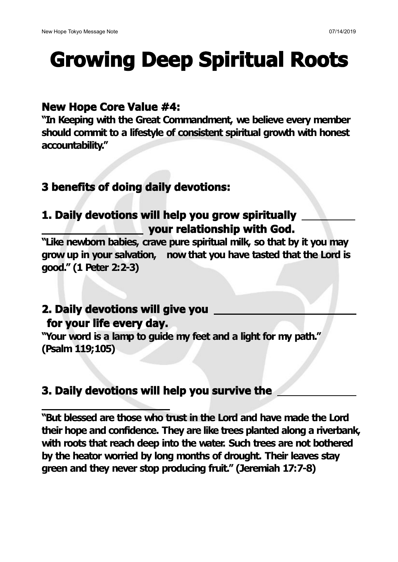# **Growing Deep Spiritual Roots**

## **New Hope Core Value #4:**

**"In Keeping with the Great Commandment, we believe every member should commit to a lifestyle of consistent spiritual growth with honest accountability."**

# **3 benefits of doing daily devotions:**

# **1. Daily devotions will help you grow spiritually your relationship with God.**

**"Like newborn babies, crave pure spiritual milk, so that by it you may grow up in your salvation, now that you have tasted that the Lord is good." (1 Peter 2:2-3)**

## **2. Daily devotions will give you for your life every day.**

**"Your word is a lamp to guide my feet and a light for my path." (Psalm 119;105)**

# **3. Daily devotions will help you survive the**

**"But blessed are those who trust in the Lord and have made the Lord their hope and confidence. They are like trees planted along a riverbank, with roots that reach deep into the water. Such trees are not bothered by the heator worried by long months ofdrought. Their leaves stay green and they never stop producing fruit." (Jeremiah 17:7-8)**